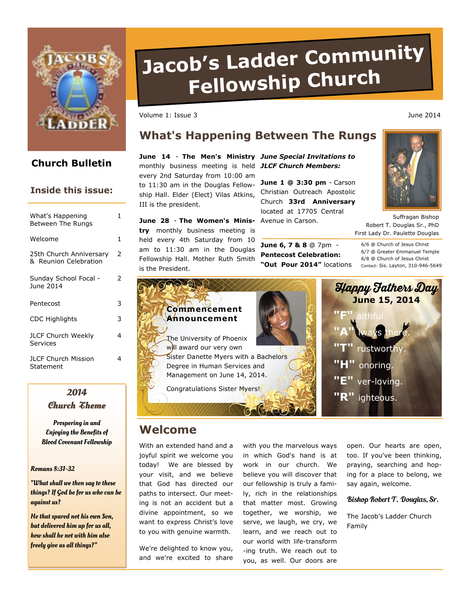

# **Church Bulletin**

## **Inside this issue:**

| What's Happening<br><b>Between The Rungs</b>     | 1. |
|--------------------------------------------------|----|
| Welcome                                          | 1  |
| 25th Church Anniversary<br>& Reunion Celebration | 2  |
| Sunday School Focal -<br>June 2014               | 2  |
| Pentecost                                        | 3  |
| <b>CDC Highlights</b>                            | 3  |
| <b>JLCF Church Weekly</b><br>Services            | 4  |
| <b>JLCF Church Mission</b><br>Statement          | 4  |

# **2014**

**Church Theme**

Prospering in and Enjoying the Benefits of Blood Covenant Fellowship

Romans 8:31-32

"What shall we then say to these things? If God be for us who can be against us?

He that spared not his own Son, but delivered him up for us all, how shall he not with him also freely give us all things?"

# **Jacob's Ladder Community Fellowship Churc<sup>h</sup>**

**What's Happening Between The Rungs** 

Volume 1: Issue 3 June 2014

III is the president.

## **June 14** - **The Men's Ministry**  *June Special Invitations to*  monthly business meeting is held *JLCF Church Members:*

**June 1 @ 3:30 pm** - Carson Christian Outreach Apostolic Church **33rd Anniversary**  located at 17705 Central

**June 28** - **The Women's Minis-**Avenue in Carson. **try** monthly business meeting is held every 4th Saturday from 10 am to 11:30 am in the Douglas Fellowship Hall. Mother Ruth Smith is the President.

every 2nd Saturday from 10:00 am to 11:30 am in the Douglas Fellowship Hall. Elder (Elect) Vilas Atkins,

> **June 6, 7 & 8** @ 7pm - **Pentecost Celebration: "Out Pour 2014"** locations

First Lady Dr. Paulette Douglas 6/6 @ Church of Jesus Christ 6/7 @ Greater Emmanuel Temple 6/8 @ Church of Jesus Christ Contact: Sis. Layton, 310-946-5649

Robert T. Douglas Sr., PhD

Suffragan Bishop



# **Welcome**

With an extended hand and a joyful spirit we welcome you today! We are blessed by your visit, and we believe that God has directed our paths to intersect. Our meeting is not an accident but a divine appointment, so we want to express Christ's love to you with genuine warmth.

We're delighted to know you, and we're excited to share with you the marvelous ways in which God's hand is at work in our church. We believe you will discover that our fellowship is truly a family, rich in the relationships that matter most. Growing together, we worship, we serve, we laugh, we cry, we learn, and we reach out to our world with life-transform -ing truth. We reach out to you, as well. Our doors are

open. Our hearts are open, too. If you've been thinking, praying, searching and hoping for a place to belong, we say again, welcome.

#### Bishop Robert T. Douglas, Sr.

The Jacob's Ladder Church Family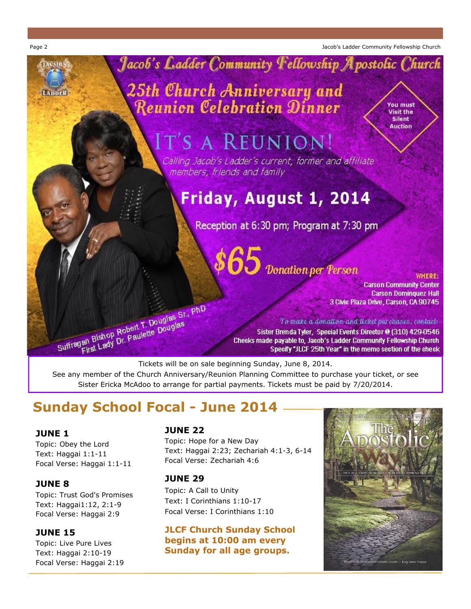Page 2 Jacob's Ladder Community Fellowship Church



See any member of the Church Anniversary/Reunion Planning Committee to purchase your ticket, or see Sister Ericka McAdoo to arrange for partial payments. Tickets must be paid by 7/20/2014.

# **Sunday School Focal - June 2014**

# **JUNE 1**

Topic: Obey the Lord Text: Haggai 1:1-11 Focal Verse: Haggai 1:1-11

# **JUNE 8**

Topic: Trust God's Promises Text: Haggai1:12, 2:1-9 Focal Verse: Haggai 2:9

# **JUNE 15**

Topic: Live Pure Lives Text: Haggai 2:10-19 Focal Verse: Haggai 2:19

## **JUNE 22**

Topic: Hope for a New Day Text: Haggai 2:23; Zechariah 4:1-3, 6-14 Focal Verse: Zechariah 4:6

## **JUNE 29**

Topic: A Call to Unity Text: I Corinthians 1:10-17 Focal Verse: I Corinthians 1:10

## **JLCF Church Sunday School begins at 10:00 am every Sunday for all age groups.**

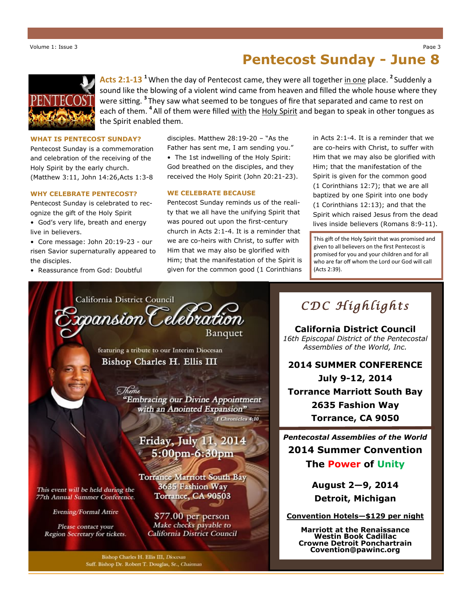# **Pentecost Sunday - June 8**



**Acts 2:1-13 <sup>1</sup>**When the day of Pentecost came, they were all together in one place. **<sup>2</sup>** Suddenly a sound like the blowing of a violent wind came from heaven and filled the whole house where they were sitting. **<sup>3</sup>** They saw what seemed to be tongues of fire that separated and came to rest on each of them. <sup>4</sup> All of them were filled <u>with</u> the Holy Spirit and began to speak in other tongues as the Spirit enabled them.

#### **WHAT IS PENTECOST SUNDAY?**

Pentecost Sunday is a commemoration and celebration of the receiving of the Holy Spirit by the early church. (Matthew 3:11, John 14:26,Acts 1:3-8

#### **WHY CELEBRATE PENTECOST?**

Pentecost Sunday is celebrated to recognize the gift of the Holy Spirit

• God's very life, breath and energy live in believers.

• Core message: John 20:19-23 - our risen Savior supernaturally appeared to the disciples.

• Reassurance from God: Doubtful

Evening/Formal Attire

Please contact your

Region Secretary for tickets.

disciples. Matthew 28:19-20 – "As the Father has sent me, I am sending you." • The 1st indwelling of the Holy Spirit: God breathed on the disciples, and they received the Holy Spirit (John 20:21-23).

#### **WE CELEBRATE BECAUSE**

Pentecost Sunday reminds us of the reality that we all have the unifying Spirit that was poured out upon the first-century church in Acts 2:1-4. It is a reminder that we are co-heirs with Christ, to suffer with Him that we may also be glorified with Him; that the manifestation of the Spirit is given for the common good (1 Corinthians in Acts 2:1-4. It is a reminder that we are co-heirs with Christ, to suffer with Him that we may also be glorified with Him; that the manifestation of the Spirit is given for the common good (1 Corinthians 12:7); that we are all baptized by one Spirit into one body (1 Corinthians 12:13); and that the Spirit which raised Jesus from the dead lives inside believers (Romans 8:9-11).

This gift of the Holy Spirit that was promised and given to all believers on the first Pentecost is promised for you and your children and for all who are far off whom the Lord our God will call (Acts 2:39).

California District Council pansion Celebration

Banquet

featuring a tribute to our Interim Diocesan Bishop Charles H. Ellis III

Theme

"Embracing our Divine Appointment with an Anointed Expansion" I Chronicles 4:10

# Friday, July 11, 2014 5:00pm-6:30pm

**Torrance Marriott South Bay** 3635 Fashion Way This event will be held during the Torrance, CA 90503 77th Annual Summer Conference.

> \$77.00 per person Make checks payable to California District Council

Bishop Charles H. Ellis III, Diocesan Suff. Bishop Dr. Robert T. Douglas, Sr., Chairman

# *CDC Highlights*

**California District Council** *16th Episcopal District of the Pentecostal Assemblies of the World, Inc.* 

**2014 SUMMER CONFERENCE July 9-12, 2014 Torrance Marriott South Bay 2635 Fashion Way Torrance, CA 9050**

*Pentecostal Assemblies of the World* **2014 Summer Convention**

**The Power of Unity**

**August 2—9, 2014 Detroit, Michigan**

**Convention Hotels—\$129 per night**

**Marriott at the Renaissance Westin Book Cadillac Crowne Detroit Ponchartrain Covention@pawinc.org**